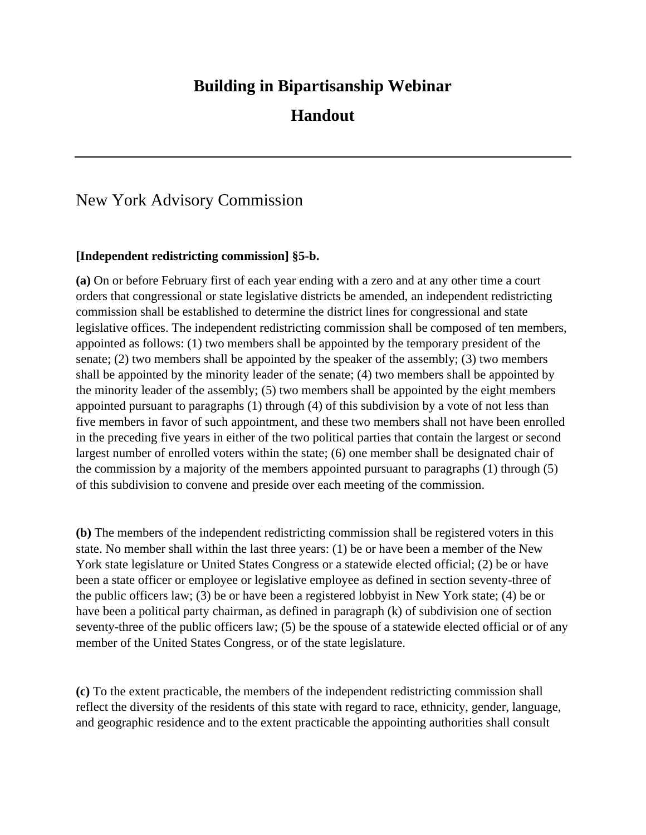## **Building in Bipartisanship Webinar**

## **Handout**

## New York Advisory Commission

## **[Independent redistricting commission] §5-b.**

**(a)** On or before February first of each year ending with a zero and at any other time a court orders that congressional or state legislative districts be amended, an independent redistricting commission shall be established to determine the district lines for congressional and state legislative offices. The independent redistricting commission shall be composed of ten members, appointed as follows: (1) two members shall be appointed by the temporary president of the senate; (2) two members shall be appointed by the speaker of the assembly; (3) two members shall be appointed by the minority leader of the senate; (4) two members shall be appointed by the minority leader of the assembly; (5) two members shall be appointed by the eight members appointed pursuant to paragraphs (1) through (4) of this subdivision by a vote of not less than five members in favor of such appointment, and these two members shall not have been enrolled in the preceding five years in either of the two political parties that contain the largest or second largest number of enrolled voters within the state; (6) one member shall be designated chair of the commission by a majority of the members appointed pursuant to paragraphs (1) through (5) of this subdivision to convene and preside over each meeting of the commission.

**(b)** The members of the independent redistricting commission shall be registered voters in this state. No member shall within the last three years: (1) be or have been a member of the New York state legislature or United States Congress or a statewide elected official; (2) be or have been a state officer or employee or legislative employee as defined in section seventy-three of the public officers law; (3) be or have been a registered lobbyist in New York state; (4) be or have been a political party chairman, as defined in paragraph (k) of subdivision one of section seventy-three of the public officers law; (5) be the spouse of a statewide elected official or of any member of the United States Congress, or of the state legislature.

**(c)** To the extent practicable, the members of the independent redistricting commission shall reflect the diversity of the residents of this state with regard to race, ethnicity, gender, language, and geographic residence and to the extent practicable the appointing authorities shall consult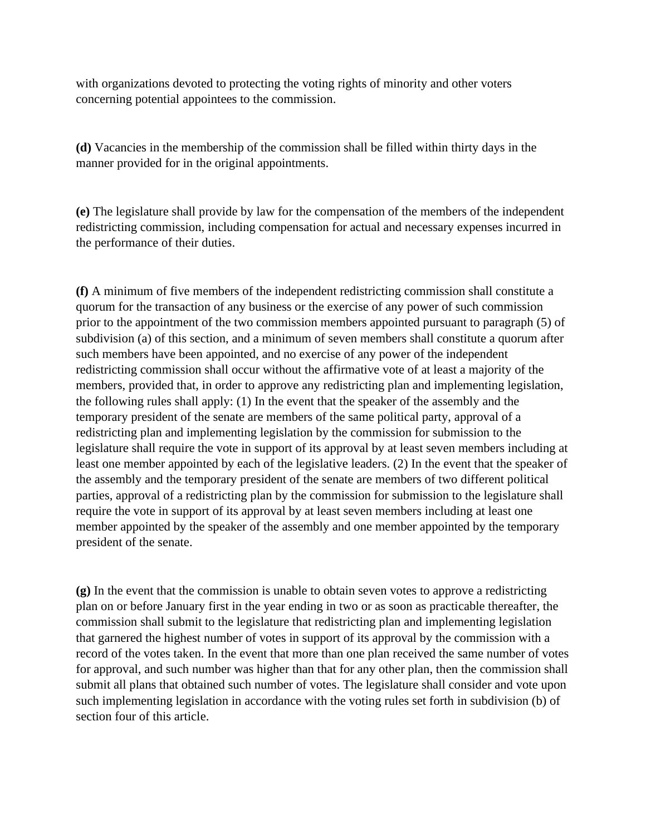with organizations devoted to protecting the voting rights of minority and other voters concerning potential appointees to the commission.

**(d)** Vacancies in the membership of the commission shall be filled within thirty days in the manner provided for in the original appointments.

**(e)** The legislature shall provide by law for the compensation of the members of the independent redistricting commission, including compensation for actual and necessary expenses incurred in the performance of their duties.

**(f)** A minimum of five members of the independent redistricting commission shall constitute a quorum for the transaction of any business or the exercise of any power of such commission prior to the appointment of the two commission members appointed pursuant to paragraph (5) of subdivision (a) of this section, and a minimum of seven members shall constitute a quorum after such members have been appointed, and no exercise of any power of the independent redistricting commission shall occur without the affirmative vote of at least a majority of the members, provided that, in order to approve any redistricting plan and implementing legislation, the following rules shall apply: (1) In the event that the speaker of the assembly and the temporary president of the senate are members of the same political party, approval of a redistricting plan and implementing legislation by the commission for submission to the legislature shall require the vote in support of its approval by at least seven members including at least one member appointed by each of the legislative leaders. (2) In the event that the speaker of the assembly and the temporary president of the senate are members of two different political parties, approval of a redistricting plan by the commission for submission to the legislature shall require the vote in support of its approval by at least seven members including at least one member appointed by the speaker of the assembly and one member appointed by the temporary president of the senate.

**(g)** In the event that the commission is unable to obtain seven votes to approve a redistricting plan on or before January first in the year ending in two or as soon as practicable thereafter, the commission shall submit to the legislature that redistricting plan and implementing legislation that garnered the highest number of votes in support of its approval by the commission with a record of the votes taken. In the event that more than one plan received the same number of votes for approval, and such number was higher than that for any other plan, then the commission shall submit all plans that obtained such number of votes. The legislature shall consider and vote upon such implementing legislation in accordance with the voting rules set forth in subdivision (b) of section four of this article.